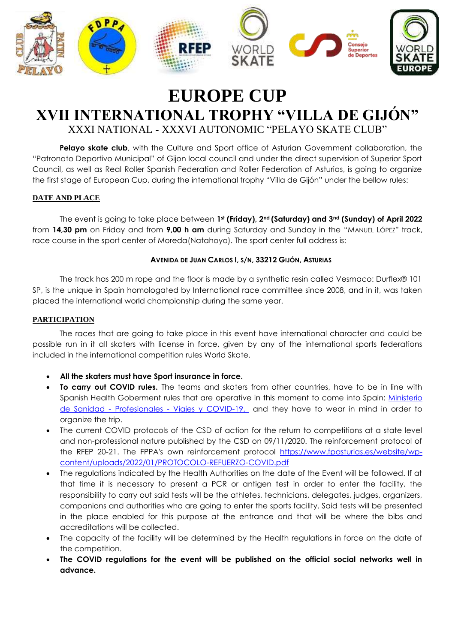

# **EUROPE CUP XVII INTERNATIONAL TROPHY "VILLA DE GIJÓN"** XXXI NATIONAL **-** XXXVI AUTONOMIC "PELAYO SKATE CLUB"

**Pelayo skate club**, with the Culture and Sport office of Asturian Government collaboration, the "Patronato Deportivo Municipal" of Gijon local council and under the direct supervision of Superior Sport Council, as well as Real Roller Spanish Federation and Roller Federation of Asturias, is going to organize the first stage of European Cup, during the international trophy "Villa de Gijón" under the bellow rules:

## **DATE AND PLACE**

The event is going to take place between **1st (Friday), 2nd (Saturday) and 3nd (Sunday) of April 2022**  from **14,30 pm** on Friday and from **9,00 h am** during Saturday and Sunday in the "MANUEL LÓPEZ" track, race course in the sport center of Moreda(Natahoyo). The sport center full address is:

## **AVENIDA DE JUAN CARLOS I, S/N, 33212 GIJÓN, ASTURIAS**

The track has 200 m rope and the floor is made by a synthetic resin called Vesmaco: Durflex® 101 SP, is the unique in Spain homologated by International race committee since 2008, and in it, was taken placed the international world championship during the same year.

## **PARTICIPATION**

The races that are going to take place in this event have international character and could be possible run in it all skaters with license in force, given by any of the international sports federations included in the international competition rules World Skate.

- **All the skaters must have Sport insurance in force.**
- **To carry out COVID rules.** The teams and skaters from other countries, have to be in line with Spanish Health Goberment rules that are operative in this moment to come into Spain: [Ministerio](https://www.sanidad.gob.es/profesionales/saludPublica/ccayes/alertasActual/nCov/spth.htm)  de Sanidad - Profesionales - [Viajes y COVID-19,](https://www.sanidad.gob.es/profesionales/saludPublica/ccayes/alertasActual/nCov/spth.htm) and they have to wear in mind in order to organize the trip.
- The current COVID protocols of the CSD of action for the return to competitions at a state level and non-professional nature published by the CSD on 09/11/2020. The reinforcement protocol of the RFEP 20-21. The FPPA's own reinforcement protocol [https://www.fpasturias.es/website/wp](https://www.fpasturias.es/website/wp-content/uploads/2022/01/PROTOCOLO-REFUERZO-COVID.pdf)[content/uploads/2022/01/PROTOCOLO-REFUERZO-COVID.pdf](https://www.fpasturias.es/website/wp-content/uploads/2022/01/PROTOCOLO-REFUERZO-COVID.pdf)
- The regulations indicated by the Health Authorities on the date of the Event will be followed. If at that time it is necessary to present a PCR or antigen test in order to enter the facility, the responsibility to carry out said tests will be the athletes, technicians, delegates, judges, organizers, companions and authorities who are going to enter the sports facility. Said tests will be presented in the place enabled for this purpose at the entrance and that will be where the bibs and accreditations will be collected.
- The capacity of the facility will be determined by the Health regulations in force on the date of the competition.
- **The COVID regulations for the event will be published on the official social networks well in advance.**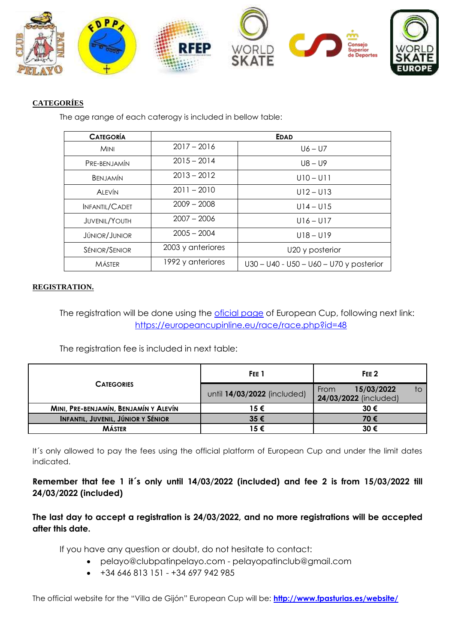

# **CATEGORÍES**

The age range of each caterogy is included in bellow table:

| <b>CATEGORÍA</b>      |                   | <b>EDAD</b>                               |  |  |
|-----------------------|-------------------|-------------------------------------------|--|--|
| <b>MINI</b>           | $2017 - 2016$     | $U6 - U7$                                 |  |  |
| PRE-BENJAMÍN          | $2015 - 2014$     | $U8 - U9$                                 |  |  |
| <b>BENJAMÍN</b>       | $2013 - 2012$     | $U10 - U11$                               |  |  |
| <b>ALEVÍN</b>         | $2011 - 2010$     | $U12 - U13$                               |  |  |
| <b>INFANTIL/CADET</b> | $2009 - 2008$     | $U14 - U15$                               |  |  |
| <b>JUVENIL/YOUTH</b>  | $2007 - 2006$     | $U16 - U17$                               |  |  |
| <b>JÚNIOR/JUNIOR</b>  | $2005 - 2004$     | $U18 - U19$                               |  |  |
| SÉNIOR/SENIOR         | 2003 y anteriores | U20 y posterior                           |  |  |
| <b>MÁSTER</b>         | 1992 y anteriores | $U30 - U40 - U50 - U60 - U70$ y posterior |  |  |

# **REGISTRATION.**

The registration will be done using the oficial page of European Cup, following next link: <https://europeancupinline.eu/race/race.php?id=48>

The registration fee is included in next table:

|                                           | FEE <sub>1</sub>            | FEE <sub>2</sub>                                  |  |  |
|-------------------------------------------|-----------------------------|---------------------------------------------------|--|--|
| <b>CATEGORIES</b>                         | until 14/03/2022 (included) | 15/03/2022<br>From<br>tΟ<br>24/03/2022 (included) |  |  |
| MINI, PRE-BENJAMÍN, BENJAMÍN Y ALEVÍN     | 15€                         | 30€                                               |  |  |
| <b>INFANTIL, JUVENIL, JÚNIOR Y SÉNIOR</b> | $35 \in$                    | 70€                                               |  |  |
| <b>MÁSTER</b>                             | 15€                         | 30€                                               |  |  |

It's only allowed to pay the fees using the official platform of European Cup and under the limit dates indicated.

**Remember that fee 1 it´s only until 14/03/2022 (included) and fee 2 is from 15/03/2022 till 24/03/2022 (included)**

**The last day to accept a registration is 24/03/2022, and no more registrations will be accepted after this date.** 

If you have any question or doubt, do not hesitate to contact:

- pelayo@clubpatinpelayo.com pelayopatinclub@gmail.com
- $+34646813151 +34697942985$

The official website for the "Villa de Gijón" European Cup will be: **<http://www.fpasturias.es/website/>**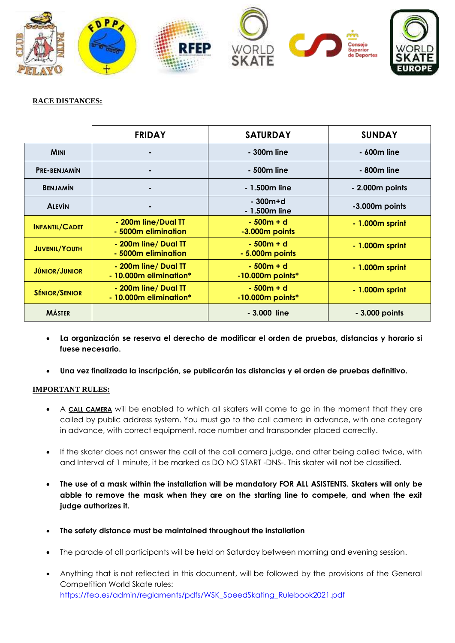

## **RACE DISTANCES:**

|                       | <b>FRIDAY</b>                                  | <b>SATURDAY</b>                   | <b>SUNDAY</b>    |  |
|-----------------------|------------------------------------------------|-----------------------------------|------------------|--|
| <b>MINI</b>           |                                                | - 300m line                       | - 600m line      |  |
| <b>PRE-BENJAMÍN</b>   | ٠                                              | - 500m line                       | - 800m line      |  |
| <b>BENJAMÍN</b>       | ۰                                              | - 1.500m line                     | - 2.000m points  |  |
| <b>ALEVÍN</b>         | ۰                                              | $-300m+d$<br>- 1.500m line        | -3.000m points   |  |
| <b>INFANTIL/CADET</b> | - 200m line/Dual TT<br>- 5000m elimination     | $-500m + d$<br>-3.000m points     | $-1.000m$ sprint |  |
| <b>JUVENIL/YOUTH</b>  | - 200m line/ Dual TT<br>- 5000m elimination    | $-500m + d$<br>- 5.000m points    | $-1.000m$ sprint |  |
| <b>JÚNIOR/JUNIOR</b>  | - 200m line/ Dual TT<br>- 10.000m elimination* | $-500m + d$<br>$-10.000m$ points* | - 1.000m sprint  |  |
| <b>SÉNIOR/SENIOR</b>  | - 200m line/ Dual TT<br>- 10.000m elimination* | $-500m + d$<br>$-10.000m$ points* | $-1.000m$ sprint |  |
| <b>MÁSTER</b>         |                                                | - 3.000 line                      | - 3.000 points   |  |

- **La organización se reserva el derecho de modificar el orden de pruebas, distancias y horario si fuese necesario.**
- **Una vez finalizada la inscripción, se publicarán las distancias y el orden de pruebas definitivo.**

#### **IMPORTANT RULES:**

- A **CALL CAMERA** will be enabled to which all skaters will come to go in the moment that they are called by public address system. You must go to the call camera in advance, with one category in advance, with correct equipment, race number and transponder placed correctly.
- If the skater does not answer the call of the call camera judge, and after being called twice, with and Interval of 1 minute, it be marked as DO NO START -DNS-. This skater will not be classified.
- **The use of a mask within the installation will be mandatory FOR ALL ASISTENTS. Skaters will only be abble to remove the mask when they are on the starting line to compete, and when the exit judge authorizes it.**
- **The safety distance must be maintained throughout the installation**
- The parade of all participants will be held on Saturday between morning and evening session.
- Anything that is not reflected in this document, will be followed by the provisions of the General Competition World Skate rules: [https://fep.es/admin/reglaments/pdfs/WSK\\_SpeedSkating\\_Rulebook2021.pdf](https://fep.es/admin/reglaments/pdfs/WSK_SpeedSkating_Rulebook2021.pdf)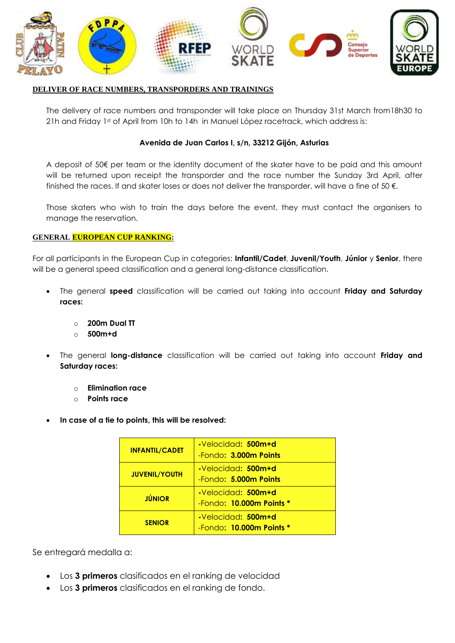

#### **DELIVER OF RACE NUMBERS, TRANSPORDERS AND TRAININGS**

The delivery of race numbers and transponder will take place on Thursday 31st March from18h30 to 21h and Friday 1st of April from 10h to 14h in Manuel López racetrack, which address is:

### **Avenida de Juan Carlos I, s/n, 33212 Gijón, Asturias**

A deposit of 50€ per team or the identity document of the skater have to be paid and this amount will be returned upon receipt the transporder and the race number the Sunday 3rd April, after finished the races. If and skater loses or does not deliver the transporder, will have a fine of 50 $\epsilon$ .

Those skaters who wish to train the days before the event, they must contact the organisers to manage the reservation.

#### **GENERAL EUROPEAN CUP RANKING:**

For all participants in the European Cup in categories: **Infantil/Cadet**, **Juvenil/Youth**, **Júnior** y **Senior**, there will be a general speed classification and a general long-distance classification.

- The general **speed** classification will be carried out taking into account **Friday and Saturday races:**
	- o **200m Dual TT**
	- o **500m+d**
- The general **long-distance** classification will be carried out taking into account **Friday and Saturday races:**
	- o **Elimination race**
	- o **Points race**
- **In case of a tie to points, this will be resolved:**

| <b>INFANTIL/CADET</b> | -Velocidad: 500m+d<br>-Fondo: 3.000m Points            |
|-----------------------|--------------------------------------------------------|
| <b>JUVENIL/YOUTH</b>  | -Velocidad: 500m+d<br>$-Fondo: 5.000m$ Points          |
| <b>JÚNIOR</b>         | -Velocidad: 500m+d<br>$-$ Fondo: 10.000 $m$ Points $*$ |
| <b>SENIOR</b>         | -Velocidad: 500m+d<br>$-$ Fondo: 10.000 $m$ Points $*$ |

Se entregará medalla a:

- Los **3 primeros** clasificados en el ranking de velocidad
- Los **3 primeros** clasificados en el ranking de fondo.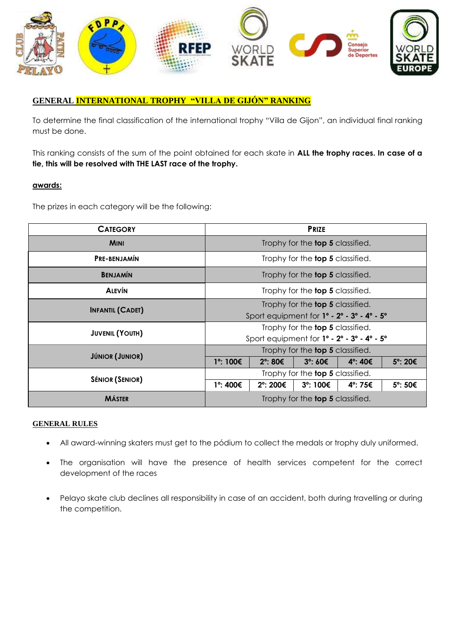

# **GENERAL INTERNATIONAL TROPHY "VILLA DE GIJÓN" RANKING**

To determine the final classification of the international trophy "Villa de Gijon", an individual final ranking must be done.

This ranking consists of the sum of the point obtained for each skate in **ALL the trophy races. In case of a tie, this will be resolved with THE LAST race of the trophy.**

#### **awards:**

The prizes in each category will be the following:

| <b>CATEGORY</b>         | <b>PRIZE</b>                                                                  |          |          |         |         |
|-------------------------|-------------------------------------------------------------------------------|----------|----------|---------|---------|
| <b>MINI</b>             | Trophy for the <b>top 5</b> classified.                                       |          |          |         |         |
| <b>PRE-BENJAMÍN</b>     | Trophy for the <b>top 5</b> classified.                                       |          |          |         |         |
| <b>BENJAMÍN</b>         | Trophy for the <b>top 5</b> classified.                                       |          |          |         |         |
| <b>ALEVÍN</b>           | Trophy for the <b>top 5</b> classified.                                       |          |          |         |         |
| <b>INFANTIL (CADET)</b> | Trophy for the <b>top 5</b> classified.                                       |          |          |         |         |
|                         | Sport equipment for 1° - 2° - 3° - 4° - 5°                                    |          |          |         |         |
|                         | Trophy for the <b>top 5</b> classified.                                       |          |          |         |         |
| <b>JUVENIL (YOUTH)</b>  | Sport equipment for $1^\circ$ - $2^\circ$ - $3^\circ$ - $4^\circ$ - $5^\circ$ |          |          |         |         |
|                         | Trophy for the <b>top 5</b> classified.                                       |          |          |         |         |
| <b>JÚNIOR (JUNIOR)</b>  | 1°: 100€                                                                      | 2°: 80€  | 3°:60€   | 4°: 40€ | 5°: 20€ |
|                         | Trophy for the <b>top 5</b> classified.                                       |          |          |         |         |
| <b>SÉNIOR (SENIOR)</b>  | 1°: 400€                                                                      | 2°: 200€ | 3°: 100€ | 4°: 75€ | 5°: 50€ |
| <b>MÁSTER</b>           | Trophy for the <b>top 5</b> classified.                                       |          |          |         |         |

#### **GENERAL RULES**

- All award-winning skaters must get to the pódium to collect the medals or trophy duly uniformed.
- The organisation will have the presence of health services competent for the correct development of the races
- Pelayo skate club declines all responsibility in case of an accident, both during travelling or during the competition.